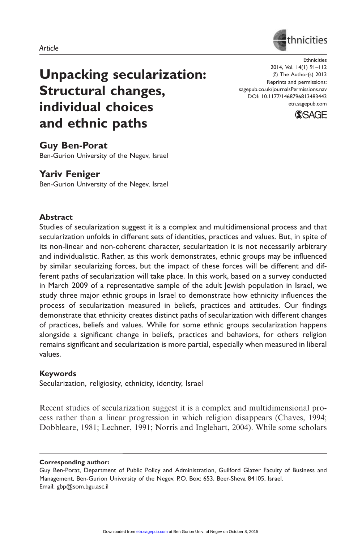

# Unpacking secularization: Structural changes, individual choices and ethnic paths

**Ethnicities** 2014, Vol. 14(1) 91–112 (C) The Author(s) 2013 Reprints and permissions: sagepub.co.uk/journalsPermissions.nav DOI: 10.1177/1468796813483443 etn.sagepub.com



# Guy Ben-Porat

Ben-Gurion University of the Negev, Israel

# Yariv Feniger

Ben-Gurion University of the Negev, Israel

#### Abstract

Studies of secularization suggest it is a complex and multidimensional process and that secularization unfolds in different sets of identities, practices and values. But, in spite of its non-linear and non-coherent character, secularization it is not necessarily arbitrary and individualistic. Rather, as this work demonstrates, ethnic groups may be influenced by similar secularizing forces, but the impact of these forces will be different and different paths of secularization will take place. In this work, based on a survey conducted in March 2009 of a representative sample of the adult Jewish population in Israel, we study three major ethnic groups in Israel to demonstrate how ethnicity influences the process of secularization measured in beliefs, practices and attitudes. Our findings demonstrate that ethnicity creates distinct paths of secularization with different changes of practices, beliefs and values. While for some ethnic groups secularization happens alongside a significant change in beliefs, practices and behaviors, for others religion remains significant and secularization is more partial, especially when measured in liberal values.

### Keywords

Secularization, religiosity, ethnicity, identity, Israel

Recent studies of secularization suggest it is a complex and multidimensional process rather than a linear progression in which religion disappears (Chaves, 1994; Dobbleare, 1981; Lechner, 1991; Norris and Inglehart, 2004). While some scholars

Corresponding author:

Guy Ben-Porat, Department of Public Policy and Administration, Guilford Glazer Faculty of Business and Management, Ben-Gurion University of the Negev, P.O. Box: 653, Beer-Sheva 84105, Israel. Email: gbp@som.bgu.asc.il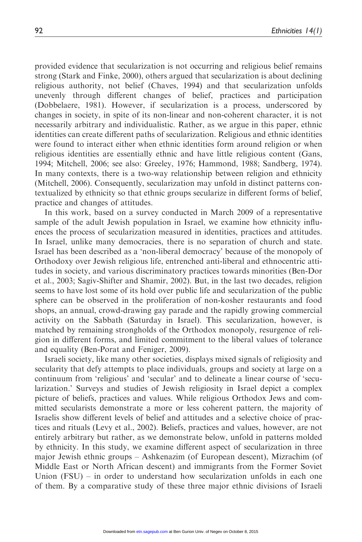provided evidence that secularization is not occurring and religious belief remains strong (Stark and Finke, 2000), others argued that secularization is about declining religious authority, not belief (Chaves, 1994) and that secularization unfolds unevenly through different changes of belief, practices and participation (Dobbelaere, 1981). However, if secularization is a process, underscored by changes in society, in spite of its non-linear and non-coherent character, it is not necessarily arbitrary and individualistic. Rather, as we argue in this paper, ethnic identities can create different paths of secularization. Religious and ethnic identities were found to interact either when ethnic identities form around religion or when religious identities are essentially ethnic and have little religious content (Gans, 1994; Mitchell, 2006; see also: Greeley, 1976; Hammond, 1988; Sandberg, 1974). In many contexts, there is a two-way relationship between religion and ethnicity (Mitchell, 2006). Consequently, secularization may unfold in distinct patterns contextualized by ethnicity so that ethnic groups secularize in different forms of belief, practice and changes of attitudes.

In this work, based on a survey conducted in March 2009 of a representative sample of the adult Jewish population in Israel, we examine how ethnicity influences the process of secularization measured in identities, practices and attitudes. In Israel, unlike many democracies, there is no separation of church and state. Israel has been described as a 'non-liberal democracy' because of the monopoly of Orthodoxy over Jewish religious life, entrenched anti-liberal and ethnocentric attitudes in society, and various discriminatory practices towards minorities (Ben-Dor et al., 2003; Sagiv-Shifter and Shamir, 2002). But, in the last two decades, religion seems to have lost some of its hold over public life and secularization of the public sphere can be observed in the proliferation of non-kosher restaurants and food shops, an annual, crowd-drawing gay parade and the rapidly growing commercial activity on the Sabbath (Saturday in Israel). This secularization, however, is matched by remaining strongholds of the Orthodox monopoly, resurgence of religion in different forms, and limited commitment to the liberal values of tolerance and equality (Ben-Porat and Feniger, 2009).

Israeli society, like many other societies, displays mixed signals of religiosity and secularity that defy attempts to place individuals, groups and society at large on a continuum from 'religious' and 'secular' and to delineate a linear course of 'secularization.' Surveys and studies of Jewish religiosity in Israel depict a complex picture of beliefs, practices and values. While religious Orthodox Jews and committed secularists demonstrate a more or less coherent pattern, the majority of Israelis show different levels of belief and attitudes and a selective choice of practices and rituals (Levy et al., 2002). Beliefs, practices and values, however, are not entirely arbitrary but rather, as we demonstrate below, unfold in patterns molded by ethnicity. In this study, we examine different aspect of secularization in three major Jewish ethnic groups – Ashkenazim (of European descent), Mizrachim (of Middle East or North African descent) and immigrants from the Former Soviet Union  $(FSU)$  – in order to understand how secularization unfolds in each one of them. By a comparative study of these three major ethnic divisions of Israeli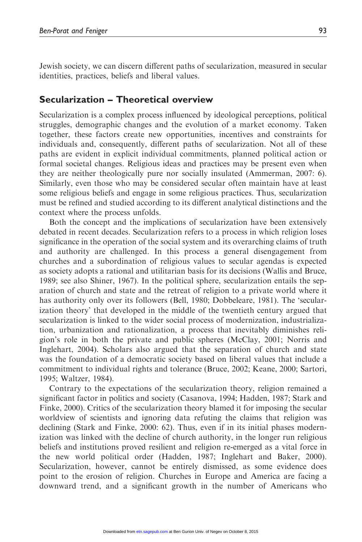Jewish society, we can discern different paths of secularization, measured in secular identities, practices, beliefs and liberal values.

## Secularization – Theoretical overview

Secularization is a complex process influenced by ideological perceptions, political struggles, demographic changes and the evolution of a market economy. Taken together, these factors create new opportunities, incentives and constraints for individuals and, consequently, different paths of secularization. Not all of these paths are evident in explicit individual commitments, planned political action or formal societal changes. Religious ideas and practices may be present even when they are neither theologically pure nor socially insulated (Ammerman, 2007: 6). Similarly, even those who may be considered secular often maintain have at least some religious beliefs and engage in some religious practices. Thus, secularization must be refined and studied according to its different analytical distinctions and the context where the process unfolds.

Both the concept and the implications of secularization have been extensively debated in recent decades. Secularization refers to a process in which religion loses significance in the operation of the social system and its overarching claims of truth and authority are challenged. In this process a general disengagement from churches and a subordination of religious values to secular agendas is expected as society adopts a rational and utilitarian basis for its decisions (Wallis and Bruce, 1989; see also Shiner, 1967). In the political sphere, secularization entails the separation of church and state and the retreat of religion to a private world where it has authority only over its followers (Bell, 1980; Dobbeleare, 1981). The 'secularization theory' that developed in the middle of the twentieth century argued that secularization is linked to the wider social process of modernization, industrialization, urbanization and rationalization, a process that inevitably diminishes religion's role in both the private and public spheres (McClay, 2001; Norris and Inglehart, 2004). Scholars also argued that the separation of church and state was the foundation of a democratic society based on liberal values that include a commitment to individual rights and tolerance (Bruce, 2002; Keane, 2000; Sartori, 1995; Waltzer, 1984).

Contrary to the expectations of the secularization theory, religion remained a significant factor in politics and society (Casanova, 1994; Hadden, 1987; Stark and Finke, 2000). Critics of the secularization theory blamed it for imposing the secular worldview of scientists and ignoring data refuting the claims that religion was declining (Stark and Finke, 2000: 62). Thus, even if in its initial phases modernization was linked with the decline of church authority, in the longer run religious beliefs and institutions proved resilient and religion re-emerged as a vital force in the new world political order (Hadden, 1987; Inglehart and Baker, 2000). Secularization, however, cannot be entirely dismissed, as some evidence does point to the erosion of religion. Churches in Europe and America are facing a downward trend, and a significant growth in the number of Americans who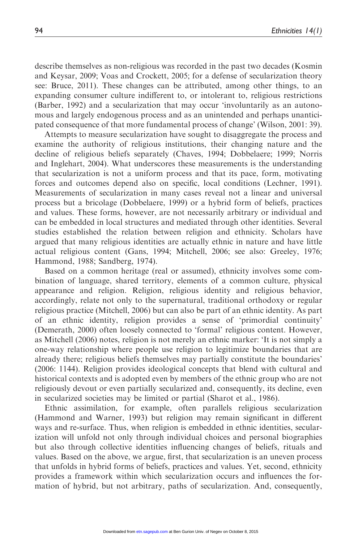describe themselves as non-religious was recorded in the past two decades (Kosmin and Keysar, 2009; Voas and Crockett, 2005; for a defense of secularization theory see: Bruce, 2011). These changes can be attributed, among other things, to an expanding consumer culture indifferent to, or intolerant to, religious restrictions (Barber, 1992) and a secularization that may occur 'involuntarily as an autonomous and largely endogenous process and as an unintended and perhaps unanticipated consequence of that more fundamental process of change' (Wilson, 2001: 39).

Attempts to measure secularization have sought to disaggregate the process and examine the authority of religious institutions, their changing nature and the decline of religious beliefs separately (Chaves, 1994; Dobbelaere; 1999; Norris and Inglehart, 2004). What underscores these measurements is the understanding that secularization is not a uniform process and that its pace, form, motivating forces and outcomes depend also on specific, local conditions (Lechner, 1991). Measurements of secularization in many cases reveal not a linear and universal process but a bricolage (Dobbelaere, 1999) or a hybrid form of beliefs, practices and values. These forms, however, are not necessarily arbitrary or individual and can be embedded in local structures and mediated through other identities. Several studies established the relation between religion and ethnicity. Scholars have argued that many religious identities are actually ethnic in nature and have little actual religious content (Gans, 1994; Mitchell, 2006; see also: Greeley, 1976; Hammond, 1988; Sandberg, 1974).

Based on a common heritage (real or assumed), ethnicity involves some combination of language, shared territory, elements of a common culture, physical appearance and religion. Religion, religious identity and religious behavior, accordingly, relate not only to the supernatural, traditional orthodoxy or regular religious practice (Mitchell, 2006) but can also be part of an ethnic identity. As part of an ethnic identity, religion provides a sense of 'primordial continuity' (Demerath, 2000) often loosely connected to 'formal' religious content. However, as Mitchell (2006) notes, religion is not merely an ethnic marker: 'It is not simply a one-way relationship where people use religion to legitimize boundaries that are already there; religious beliefs themselves may partially constitute the boundaries' (2006: 1144). Religion provides ideological concepts that blend with cultural and historical contexts and is adopted even by members of the ethnic group who are not religiously devout or even partially secularized and, consequently, its decline, even in secularized societies may be limited or partial (Sharot et al., 1986).

Ethnic assimilation, for example, often parallels religious secularization (Hammond and Warner, 1993) but religion may remain significant in different ways and re-surface. Thus, when religion is embedded in ethnic identities, secularization will unfold not only through individual choices and personal biographies but also through collective identities influencing changes of beliefs, rituals and values. Based on the above, we argue, first, that secularization is an uneven process that unfolds in hybrid forms of beliefs, practices and values. Yet, second, ethnicity provides a framework within which secularization occurs and influences the formation of hybrid, but not arbitrary, paths of secularization. And, consequently,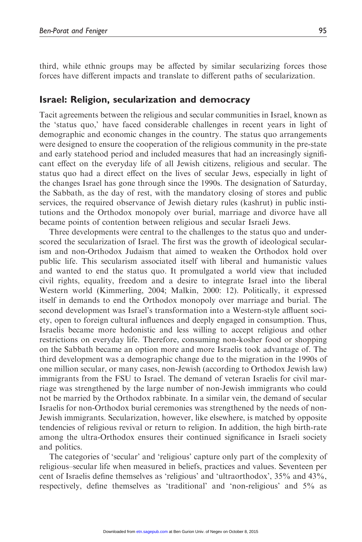third, while ethnic groups may be affected by similar secularizing forces those forces have different impacts and translate to different paths of secularization.

#### Israel: Religion, secularization and democracy

Tacit agreements between the religious and secular communities in Israel, known as the 'status quo,' have faced considerable challenges in recent years in light of demographic and economic changes in the country. The status quo arrangements were designed to ensure the cooperation of the religious community in the pre-state and early statehood period and included measures that had an increasingly significant effect on the everyday life of all Jewish citizens, religious and secular. The status quo had a direct effect on the lives of secular Jews, especially in light of the changes Israel has gone through since the 1990s. The designation of Saturday, the Sabbath, as the day of rest, with the mandatory closing of stores and public services, the required observance of Jewish dietary rules (kashrut) in public institutions and the Orthodox monopoly over burial, marriage and divorce have all became points of contention between religious and secular Israeli Jews.

Three developments were central to the challenges to the status quo and underscored the secularization of Israel. The first was the growth of ideological secularism and non-Orthodox Judaism that aimed to weaken the Orthodox hold over public life. This secularism associated itself with liberal and humanistic values and wanted to end the status quo. It promulgated a world view that included civil rights, equality, freedom and a desire to integrate Israel into the liberal Western world (Kimmerling, 2004; Malkin, 2000: 12). Politically, it expressed itself in demands to end the Orthodox monopoly over marriage and burial. The second development was Israel's transformation into a Western-style affluent society, open to foreign cultural influences and deeply engaged in consumption. Thus, Israelis became more hedonistic and less willing to accept religious and other restrictions on everyday life. Therefore, consuming non-kosher food or shopping on the Sabbath became an option more and more Israelis took advantage of. The third development was a demographic change due to the migration in the 1990s of one million secular, or many cases, non-Jewish (according to Orthodox Jewish law) immigrants from the FSU to Israel. The demand of veteran Israelis for civil marriage was strengthened by the large number of non-Jewish immigrants who could not be married by the Orthodox rabbinate. In a similar vein, the demand of secular Israelis for non-Orthodox burial ceremonies was strengthened by the needs of non-Jewish immigrants. Secularization, however, like elsewhere, is matched by opposite tendencies of religious revival or return to religion. In addition, the high birth-rate among the ultra-Orthodox ensures their continued significance in Israeli society and politics.

The categories of 'secular' and 'religious' capture only part of the complexity of religious–secular life when measured in beliefs, practices and values. Seventeen per cent of Israelis define themselves as 'religious' and 'ultraorthodox', 35% and 43%, respectively, define themselves as 'traditional' and 'non-religious' and 5% as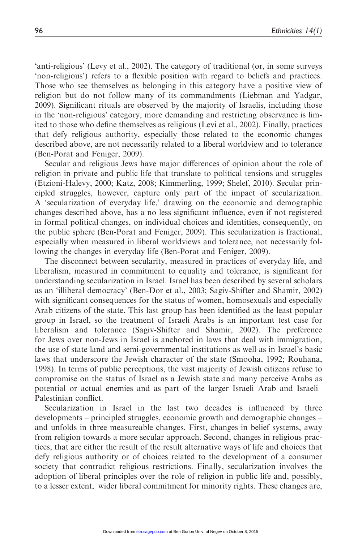'anti-religious' (Levy et al., 2002). The category of traditional (or, in some surveys 'non-religious') refers to a flexible position with regard to beliefs and practices. Those who see themselves as belonging in this category have a positive view of religion but do not follow many of its commandments (Liebman and Yadgar, 2009). Significant rituals are observed by the majority of Israelis, including those in the 'non-religious' category, more demanding and restricting observance is limited to those who define themselves as religious (Levi et al., 2002). Finally, practices that defy religious authority, especially those related to the economic changes described above, are not necessarily related to a liberal worldview and to tolerance (Ben-Porat and Feniger, 2009).

Secular and religious Jews have major differences of opinion about the role of religion in private and public life that translate to political tensions and struggles (Etzioni-Halevy, 2000; Katz, 2008; Kimmerling, 1999; Shelef, 2010). Secular principled struggles, however, capture only part of the impact of secularization. A 'secularization of everyday life,' drawing on the economic and demographic changes described above, has a no less significant influence, even if not registered in formal political changes, on individual choices and identities, consequently, on the public sphere (Ben-Porat and Feniger, 2009). This secularization is fractional, especially when measured in liberal worldviews and tolerance, not necessarily following the changes in everyday life (Ben-Porat and Feniger, 2009).

The disconnect between secularity, measured in practices of everyday life, and liberalism, measured in commitment to equality and tolerance, is significant for understanding secularization in Israel. Israel has been described by several scholars as an 'illiberal democracy' (Ben-Dor et al., 2003; Sagiv-Shifter and Shamir, 2002) with significant consequences for the status of women, homosexuals and especially Arab citizens of the state. This last group has been identified as the least popular group in Israel, so the treatment of Israeli Arabs is an important test case for liberalism and tolerance (Sagiv-Shifter and Shamir, 2002). The preference for Jews over non-Jews in Israel is anchored in laws that deal with immigration, the use of state land and semi-governmental institutions as well as in Israel's basic laws that underscore the Jewish character of the state (Smooha, 1992; Rouhana, 1998). In terms of public perceptions, the vast majority of Jewish citizens refuse to compromise on the status of Israel as a Jewish state and many perceive Arabs as potential or actual enemies and as part of the larger Israeli–Arab and Israeli– Palestinian conflict.

Secularization in Israel in the last two decades is influenced by three developments – principled struggles, economic growth and demographic changes – and unfolds in three measureable changes. First, changes in belief systems, away from religion towards a more secular approach. Second, changes in religious practices, that are either the result of the result alternative ways of life and choices that defy religious authority or of choices related to the development of a consumer society that contradict religious restrictions. Finally, secularization involves the adoption of liberal principles over the role of religion in public life and, possibly, to a lesser extent, wider liberal commitment for minority rights. These changes are,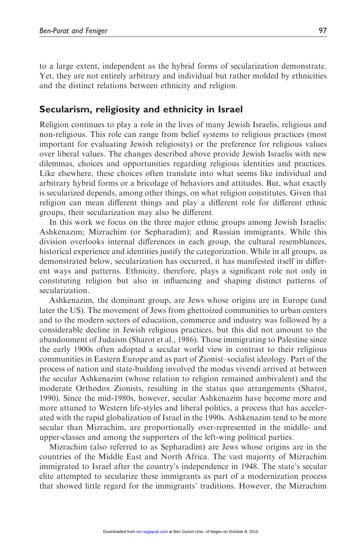to a large extent, independent as the hybrid forms of secularization demonstrate. Yet, they are not entirely arbitrary and individual but rather molded by ethnicities and the distinct relations between ethnicity and religion.

### Secularism, religiosity and ethnicity in Israel

Religion continues to play a role in the lives of many Jewish Israelis, religious and non-religious. This role can range from belief systems to religious practices (most important for evaluating Jewish religiosity) or the preference for religious values over liberal values. The changes described above provide Jewish Israelis with new dilemmas, choices and opportunities regarding religious identities and practices. Like elsewhere, these choices often translate into what seems like individual and arbitrary hybrid forms or a bricolage of behaviors and attitudes. But, what exactly is secularized depends, among other things, on what religion constitutes. Given that religion can mean different things and play a different role for different ethnic groups, their secularization may also be different.

In this work we focus on the three major ethnic groups among Jewish Israelis: Ashkenazim; Mizrachim (or Sepharadim); and Russian immigrants. While this division overlooks internal differences in each group, the cultural resemblances, historical experience and identities justify the categorization. While in all groups, as demonstrated below, secularization has occurred, it has manifested itself in different ways and patterns. Ethnicity, therefore, plays a significant role not only in constituting religion but also in influencing and shaping distinct patterns of secularization.

Ashkenazim, the dominant group, are Jews whose origins are in Europe (and later the US). The movement of Jews from ghettoized communities to urban centers and to the modern sectors of education, commerce and industry was followed by a considerable decline in Jewish religious practices, but this did not amount to the abandonment of Judaism (Sharot et al., 1986). Those immigrating to Palestine since the early 1900s often adopted a secular world view in contrast to their religious communities in Eastern Europe and as part of Zionist–socialist ideology. Part of the process of nation and state-building involved the modus vivendi arrived at between the secular Ashkenazim (whose relation to religion remained ambivalent) and the moderate Orthodox Zionists, resulting in the status quo arrangements (Sharot, 1990). Since the mid-1980s, however, secular Ashkenazim have become more and more attuned to Western life-styles and liberal politics, a process that has accelerated with the rapid globalization of Israel in the 1990s. Ashkenazim tend to be more secular than Mizrachim, are proportionally over-represented in the middle- and upper-classes and among the supporters of the left-wing political parties.

Mizrachim (also referred to as Sepharadim) are Jews whose origins are in the countries of the Middle East and North Africa. The vast majority of Mizrachim immigrated to Israel after the country's independence in 1948. The state's secular elite attempted to secularize these immigrants as part of a modernization process that showed little regard for the immigrants' traditions. However, the Mizrachim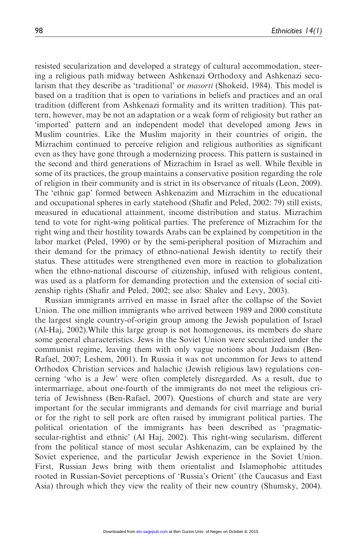resisted secularization and developed a strategy of cultural accommodation, steering a religious path midway between Ashkenazi Orthodoxy and Ashkenazi secularism that they describe as 'traditional' or *masorti* (Shokeid, 1984). This model is based on a tradition that is open to variations in beliefs and practices and an oral tradition (different from Ashkenazi formality and its written tradition). This pattern, however, may be not an adaptation or a weak form of religiosity but rather an 'imported' pattern and an independent model that developed among Jews in Muslim countries. Like the Muslim majority in their countries of origin, the Mizrachim continued to perceive religion and religious authorities as significant even as they have gone through a modernizing process. This pattern is sustained in the second and third generations of Mizrachim in Israel as well. While flexible in some of its practices, the group maintains a conservative position regarding the role of religion in their community and is strict in its observance of rituals (Leon, 2009). The 'ethnic gap' formed between Ashkenazim and Mizrachim in the educational and occupational spheres in early statehood (Shafir and Peled, 2002: 79) still exists, measured in educational attainment, income distribution and status. Mizrachim tend to vote for right-wing political parties. The preference of Mizrachim for the right wing and their hostility towards Arabs can be explained by competition in the labor market (Peled, 1990) or by the semi-peripheral position of Mizrachim and their demand for the primacy of ethno-national Jewish identity to rectify their status. These attitudes were strengthened even more in reaction to globalization when the ethno-national discourse of citizenship, infused with religious content, was used as a platform for demanding protection and the extension of social citizenship rights (Shafir and Peled, 2002; see also: Shalev and Levy, 2003).

Russian immigrants arrived en masse in Israel after the collapse of the Soviet Union. The one million immigrants who arrived between 1989 and 2000 constitute the largest single country-of-origin group among the Jewish population of Israel (Al-Haj, 2002).While this large group is not homogeneous, its members do share some general characteristics. Jews in the Soviet Union were secularized under the communist regime, leaving them with only vague notions about Judaism (Ben-Rafael, 2007; Leshem, 2001). In Russia it was not uncommon for Jews to attend Orthodox Christian services and halachic (Jewish religious law) regulations concerning 'who is a Jew' were often completely disregarded. As a result, due to intermarriage, about one-fourth of the immigrants do not meet the religious criteria of Jewishness (Ben-Rafael, 2007). Questions of church and state are very important for the secular immigrants and demands for civil marriage and burial or for the right to sell pork are often raised by immigrant political parties. The political orientation of the immigrants has been described as 'pragmaticsecular-rightist and ethnic' (Al Haj, 2002). This right-wing secularism, different from the political stance of most secular Ashkenazim, can be explained by the Soviet experience, and the particular Jewish experience in the Soviet Union. First, Russian Jews bring with them orientalist and Islamophobic attitudes rooted in Russian-Soviet perceptions of 'Russia's Orient' (the Caucasus and East Asia) through which they view the reality of their new country (Shumsky, 2004).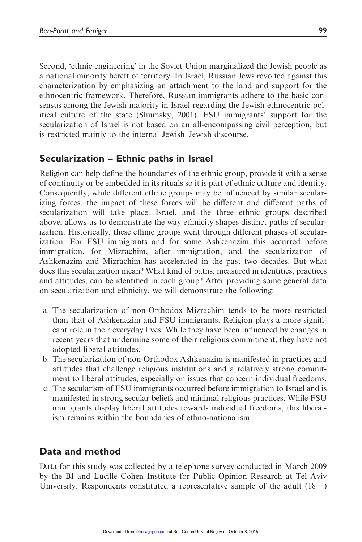Second, 'ethnic engineering' in the Soviet Union marginalized the Jewish people as a national minority bereft of territory. In Israel, Russian Jews revolted against this characterization by emphasizing an attachment to the land and support for the ethnocentric framework. Therefore, Russian immigrants adhere to the basic consensus among the Jewish majority in Israel regarding the Jewish ethnocentric political culture of the state (Shumsky, 2001). FSU immigrants' support for the secularization of Israel is not based on an all-encompassing civil perception, but is restricted mainly to the internal Jewish–Jewish discourse.

# Secularization – Ethnic paths in Israel

Religion can help define the boundaries of the ethnic group, provide it with a sense of continuity or be embedded in its rituals so it is part of ethnic culture and identity. Consequently, while different ethnic groups may be influenced by similar secularizing forces, the impact of these forces will be different and different paths of secularization will take place. Israel, and the three ethnic groups described above, allows us to demonstrate the way ethnicity shapes distinct paths of secularization. Historically, these ethnic groups went through different phases of secularization. For FSU immigrants and for some Ashkenazim this occurred before immigration, for Mizrachim, after immigration, and the secularization of Ashkenazim and Mizrachim has accelerated in the past two decades. But what does this secularization mean? What kind of paths, measured in identities, practices and attitudes, can be identified in each group? After providing some general data on secularization and ethnicity, we will demonstrate the following:

- a. The secularization of non-Orthodox Mizrachim tends to be more restricted than that of Ashkenazim and FSU immigrants. Religion plays a more significant role in their everyday lives. While they have been influenced by changes in recent years that undermine some of their religious commitment, they have not adopted liberal attitudes.
- b. The secularization of non-Orthodox Ashkenazim is manifested in practices and attitudes that challenge religious institutions and a relatively strong commitment to liberal attitudes, especially on issues that concern individual freedoms.
- c. The secularism of FSU immigrants occurred before immigration to Israel and is manifested in strong secular beliefs and minimal religious practices. While FSU immigrants display liberal attitudes towards individual freedoms, this liberalism remains within the boundaries of ethno-nationalism.

# Data and method

Data for this study was collected by a telephone survey conducted in March 2009 by the BI and Lucille Cohen Institute for Public Opinion Research at Tel Aviv University. Respondents constituted a representative sample of the adult  $(18+)$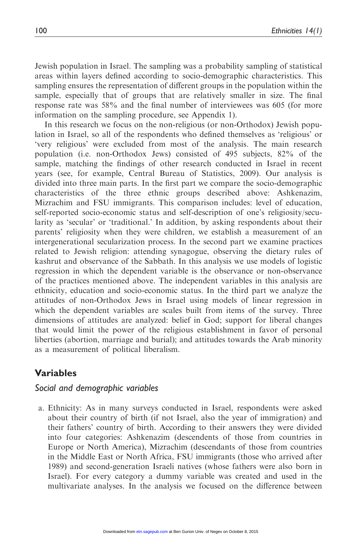Jewish population in Israel. The sampling was a probability sampling of statistical areas within layers defined according to socio-demographic characteristics. This sampling ensures the representation of different groups in the population within the sample, especially that of groups that are relatively smaller in size. The final response rate was 58% and the final number of interviewees was 605 (for more information on the sampling procedure, see Appendix 1).

In this research we focus on the non-religious (or non-Orthodox) Jewish population in Israel, so all of the respondents who defined themselves as 'religious' or 'very religious' were excluded from most of the analysis. The main research population (i.e. non-Orthodox Jews) consisted of 495 subjects, 82% of the sample, matching the findings of other research conducted in Israel in recent years (see, for example, Central Bureau of Statistics, 2009). Our analysis is divided into three main parts. In the first part we compare the socio-demographic characteristics of the three ethnic groups described above: Ashkenazim, Mizrachim and FSU immigrants. This comparison includes: level of education, self-reported socio-economic status and self-description of one's religiosity/secularity as 'secular' or 'traditional.' In addition, by asking respondents about their parents' religiosity when they were children, we establish a measurement of an intergenerational secularization process. In the second part we examine practices related to Jewish religion: attending synagogue, observing the dietary rules of kashrut and observance of the Sabbath. In this analysis we use models of logistic regression in which the dependent variable is the observance or non-observance of the practices mentioned above. The independent variables in this analysis are ethnicity, education and socio-economic status. In the third part we analyze the attitudes of non-Orthodox Jews in Israel using models of linear regression in which the dependent variables are scales built from items of the survey. Three dimensions of attitudes are analyzed: belief in God; support for liberal changes that would limit the power of the religious establishment in favor of personal liberties (abortion, marriage and burial); and attitudes towards the Arab minority as a measurement of political liberalism.

# Variables

#### Social and demographic variables

a. Ethnicity: As in many surveys conducted in Israel, respondents were asked about their country of birth (if not Israel, also the year of immigration) and their fathers' country of birth. According to their answers they were divided into four categories: Ashkenazim (descendents of those from countries in Europe or North America), Mizrachim (descendants of those from countries in the Middle East or North Africa, FSU immigrants (those who arrived after 1989) and second-generation Israeli natives (whose fathers were also born in Israel). For every category a dummy variable was created and used in the multivariate analyses. In the analysis we focused on the difference between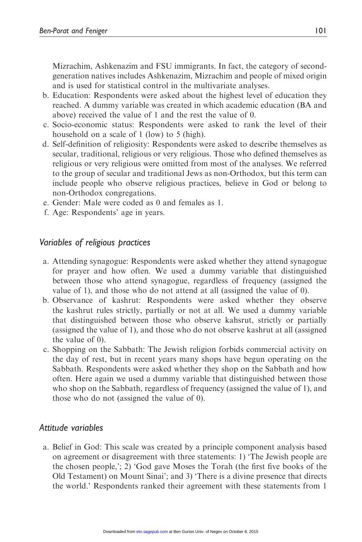Mizrachim, Ashkenazim and FSU immigrants. In fact, the category of secondgeneration natives includes Ashkenazim, Mizrachim and people of mixed origin and is used for statistical control in the multivariate analyses.

- b. Education: Respondents were asked about the highest level of education they reached. A dummy variable was created in which academic education (BA and above) received the value of 1 and the rest the value of 0.
- c. Socio-economic status: Respondents were asked to rank the level of their household on a scale of 1 (low) to 5 (high).
- d. Self-definition of religiosity: Respondents were asked to describe themselves as secular, traditional, religious or very religious. Those who defined themselves as religious or very religious were omitted from most of the analyses. We referred to the group of secular and traditional Jews as non-Orthodox, but this term can include people who observe religious practices, believe in God or belong to non-Orthodox congregations.
- e. Gender: Male were coded as 0 and females as 1.
- f. Age: Respondents' age in years.

## Variables of religious practices

- a. Attending synagogue: Respondents were asked whether they attend synagogue for prayer and how often. We used a dummy variable that distinguished between those who attend synagogue, regardless of frequency (assigned the value of 1), and those who do not attend at all (assigned the value of 0).
- b. Observance of kashrut: Respondents were asked whether they observe the kashrut rules strictly, partially or not at all. We used a dummy variable that distinguished between those who observe kahsrut, strictly or partially (assigned the value of 1), and those who do not observe kashrut at all (assigned the value of 0).
- c. Shopping on the Sabbath: The Jewish religion forbids commercial activity on the day of rest, but in recent years many shops have begun operating on the Sabbath. Respondents were asked whether they shop on the Sabbath and how often. Here again we used a dummy variable that distinguished between those who shop on the Sabbath, regardless of frequency (assigned the value of 1), and those who do not (assigned the value of 0).

### Attitude variables

a. Belief in God: This scale was created by a principle component analysis based on agreement or disagreement with three statements: 1) 'The Jewish people are the chosen people,'; 2) 'God gave Moses the Torah (the first five books of the Old Testament) on Mount Sinai'; and 3) 'There is a divine presence that directs the world.' Respondents ranked their agreement with these statements from 1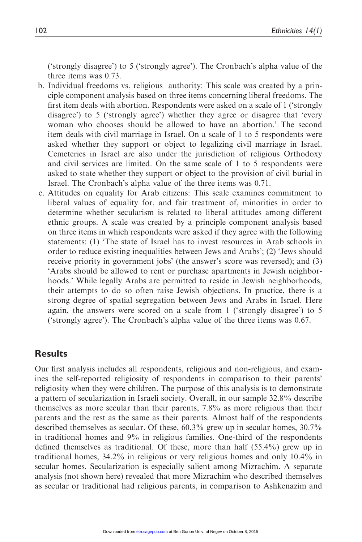('strongly disagree') to 5 ('strongly agree'). The Cronbach's alpha value of the three items was 0.73.

- b. Individual freedoms vs. religious authority: This scale was created by a principle component analysis based on three items concerning liberal freedoms. The first item deals with abortion. Respondents were asked on a scale of 1 ('strongly disagree') to 5 ('strongly agree') whether they agree or disagree that 'every woman who chooses should be allowed to have an abortion.' The second item deals with civil marriage in Israel. On a scale of 1 to 5 respondents were asked whether they support or object to legalizing civil marriage in Israel. Cemeteries in Israel are also under the jurisdiction of religious Orthodoxy and civil services are limited. On the same scale of 1 to 5 respondents were asked to state whether they support or object to the provision of civil burial in Israel. The Cronbach's alpha value of the three items was 0.71.
- c. Attitudes on equality for Arab citizens: This scale examines commitment to liberal values of equality for, and fair treatment of, minorities in order to determine whether secularism is related to liberal attitudes among different ethnic groups. A scale was created by a principle component analysis based on three items in which respondents were asked if they agree with the following statements: (1) 'The state of Israel has to invest resources in Arab schools in order to reduce existing inequalities between Jews and Arabs'; (2) 'Jews should receive priority in government jobs' (the answer's score was reversed); and (3) 'Arabs should be allowed to rent or purchase apartments in Jewish neighborhoods.' While legally Arabs are permitted to reside in Jewish neighborhoods, their attempts to do so often raise Jewish objections. In practice, there is a strong degree of spatial segregation between Jews and Arabs in Israel. Here again, the answers were scored on a scale from 1 ('strongly disagree') to 5 ('strongly agree'). The Cronbach's alpha value of the three items was 0.67.

## **Results**

Our first analysis includes all respondents, religious and non-religious, and examines the self-reported religiosity of respondents in comparison to their parents' religiosity when they were children. The purpose of this analysis is to demonstrate a pattern of secularization in Israeli society. Overall, in our sample 32.8% describe themselves as more secular than their parents, 7.8% as more religious than their parents and the rest as the same as their parents. Almost half of the respondents described themselves as secular. Of these, 60.3% grew up in secular homes, 30.7% in traditional homes and 9% in religious families. One-third of the respondents defined themselves as traditional. Of these, more than half (55.4%) grew up in traditional homes, 34.2% in religious or very religious homes and only 10.4% in secular homes. Secularization is especially salient among Mizrachim. A separate analysis (not shown here) revealed that more Mizrachim who described themselves as secular or traditional had religious parents, in comparison to Ashkenazim and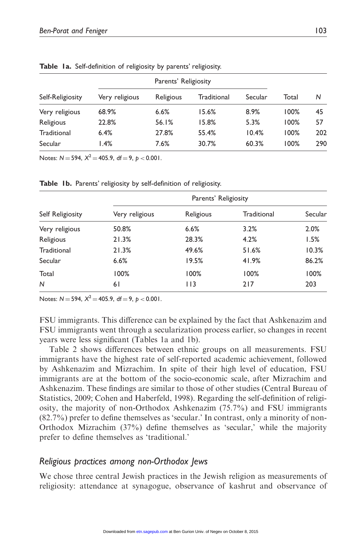|                  | Parents' Religiosity |           |             |         |       |     |
|------------------|----------------------|-----------|-------------|---------|-------|-----|
| Self-Religiosity | Very religious       | Religious | Traditional | Secular | Total | N   |
| Very religious   | 68.9%                | 6.6%      | 15.6%       | 8.9%    | 100%  | 45  |
| Religious        | 22.8%                | 56.1%     | 15.8%       | 5.3%    | 100%  | 57  |
| Traditional      | 6.4%                 | 27.8%     | 55.4%       | 10.4%   | 100%  | 202 |
| Secular          | 1.4%                 | 7.6%      | 30.7%       | 60.3%   | 100%  | 290 |

Table 1a. Self-definition of religiosity by parents' religiosity.

Notes:  $N = 594$ ,  $X^2 = 405.9$ , df = 9, p < 0.001.

|                  | Parents' Religiosity |           |             |         |  |  |
|------------------|----------------------|-----------|-------------|---------|--|--|
| Self Religiosity | Very religious       | Religious | Traditional | Secular |  |  |
| Very religious   | 50.8%                | 6.6%      | 3.2%        | 2.0%    |  |  |
| Religious        | 21.3%                | 28.3%     | 4.2%        | 1.5%    |  |  |
| Traditional      | 21.3%                | 49.6%     | 51.6%       | 10.3%   |  |  |
| Secular          | 6.6%                 | 19.5%     | 41.9%       | 86.2%   |  |  |
| Total            | 100%                 | 100%      | 100%        | 100%    |  |  |
| N                | 6 I                  | 113       | 217         | 203     |  |  |

Table 1b. Parents' religiosity by self-definition of religiosity.

Notes:  $N = 594$ ,  $X^2 = 405.9$ , df = 9, p < 0.001.

FSU immigrants. This difference can be explained by the fact that Ashkenazim and FSU immigrants went through a secularization process earlier, so changes in recent years were less significant (Tables 1a and 1b).

Table 2 shows differences between ethnic groups on all measurements. FSU immigrants have the highest rate of self-reported academic achievement, followed by Ashkenazim and Mizrachim. In spite of their high level of education, FSU immigrants are at the bottom of the socio-economic scale, after Mizrachim and Ashkenazim. These findings are similar to those of other studies (Central Bureau of Statistics, 2009; Cohen and Haberfeld, 1998). Regarding the self-definition of religiosity, the majority of non-Orthodox Ashkenazim (75.7%) and FSU immigrants (82.7%) prefer to define themselves as 'secular.' In contrast, only a minority of non-Orthodox Mizrachim (37%) define themselves as 'secular,' while the majority prefer to define themselves as 'traditional.'

### Religious practices among non-Orthodox Jews

We chose three central Jewish practices in the Jewish religion as measurements of religiosity: attendance at synagogue, observance of kashrut and observance of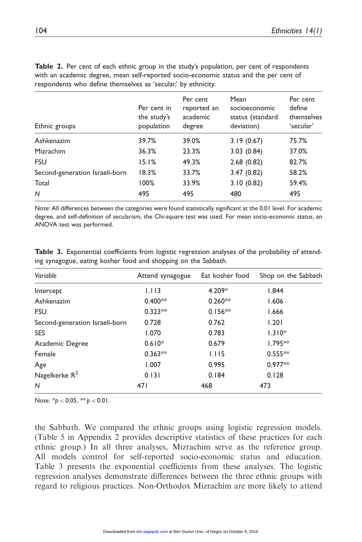| Ethnic groups                  | Per cent in<br>the study's<br>population | Per cent<br>reported an<br>academic<br>degree | Mean<br>socioeconomic<br>status (standard<br>deviation) | Per cent<br>define<br>themselves<br>'secular' |
|--------------------------------|------------------------------------------|-----------------------------------------------|---------------------------------------------------------|-----------------------------------------------|
| Ashkenazim                     | 39.7%                                    | 39.0%                                         | 3.19(0.67)                                              | 75.7%                                         |
| Mizrachim                      | 36.3%                                    | 23.3%                                         | 3.03(0.84)                                              | 37.0%                                         |
| <b>FSU</b>                     | 15.1%                                    | 49.3%                                         | 2.68(0.82)                                              | 82.7%                                         |
| Second-generation Israeli-born | 18.3%                                    | 33.7%                                         | 3.47(0.82)                                              | 58.2%                                         |
| Total                          | 100%                                     | 33.9%                                         | 3.10(0.82)                                              | 59.4%                                         |
| N                              | 495                                      | 495                                           | 480                                                     | 495                                           |

Table 2. Per cent of each ethnic group in the study's population, per cent of respondents with an academic degree, mean self-reported socio-economic status and the per cent of respondents who define themselves as 'secular,' by ethnicity.

Note: All differences between the categories were found statistically significant at the 0.01 level. For academic degree, and self-definition of secularism, the Chi-square test was used. For mean socio-economic status, an ANOVA test was performed.

| Table 3. Exponential coefficients from logistic regression analyses of the probability of attend- |  |  |  |  |  |
|---------------------------------------------------------------------------------------------------|--|--|--|--|--|
| ing synagogue, eating kosher food and shopping on the Sabbath.                                    |  |  |  |  |  |

| Variable                       | Attend synagogue | Eat kosher food | Shop on the Sabbath |
|--------------------------------|------------------|-----------------|---------------------|
| Intercept                      | 1.113            | 4.209*          | 1.844               |
| Ashkenazim                     | $0.400**$        | $0.260**$       | 1.606               |
| <b>FSU</b>                     | $0.323**$        | $0.156**$       | 1.666               |
| Second-generation Israeli-born | 0.728            | 0.762           | 1.201               |
| <b>SES</b>                     | 1.070            | 0.783           | $1.310*$            |
| Academic Degree                | $0.610*$         | 0.679           | $1.795**$           |
| Female                         | $0.363**$        | 1.115           | $0.555**$           |
| Age                            | 1.007            | 0.995           | $0.977**$           |
| Nagelkerke $R^2$               | 0.131            | 0.184           | 0.128               |
| N                              | 471              | 468             | 473                 |

Note:  $*_{p}$  < 0.05,  $*_{p}$  < 0.01.

the Sabbath. We compared the ethnic groups using logistic regression models. (Table 5 in Appendix 2 provides descriptive statistics of these practices for each ethnic group.) In all three analyses, Mizrachim serve as the reference group. All models control for self-reported socio-economic status and education. Table 3 presents the exponential coefficients from these analyses. The logistic regression analyses demonstrate differences between the three ethnic groups with regard to religious practices. Non-Orthodox Mizrachim are more likely to attend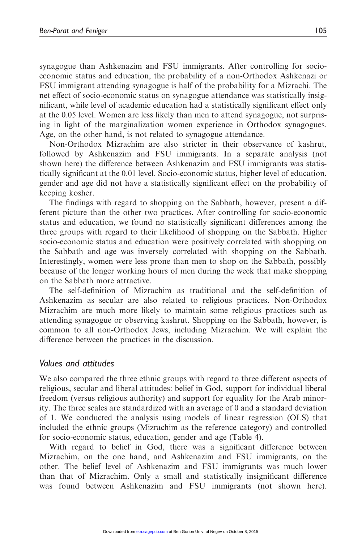synagogue than Ashkenazim and FSU immigrants. After controlling for socioeconomic status and education, the probability of a non-Orthodox Ashkenazi or FSU immigrant attending synagogue is half of the probability for a Mizrachi. The net effect of socio-economic status on synagogue attendance was statistically insignificant, while level of academic education had a statistically significant effect only at the 0.05 level. Women are less likely than men to attend synagogue, not surprising in light of the marginalization women experience in Orthodox synagogues. Age, on the other hand, is not related to synagogue attendance.

Non-Orthodox Mizrachim are also stricter in their observance of kashrut, followed by Ashkenazim and FSU immigrants. In a separate analysis (not shown here) the difference between Ashkenazim and FSU immigrants was statistically significant at the 0.01 level. Socio-economic status, higher level of education, gender and age did not have a statistically significant effect on the probability of keeping kosher.

The findings with regard to shopping on the Sabbath, however, present a different picture than the other two practices. After controlling for socio-economic status and education, we found no statistically significant differences among the three groups with regard to their likelihood of shopping on the Sabbath. Higher socio-economic status and education were positively correlated with shopping on the Sabbath and age was inversely correlated with shopping on the Sabbath. Interestingly, women were less prone than men to shop on the Sabbath, possibly because of the longer working hours of men during the week that make shopping on the Sabbath more attractive.

The self-definition of Mizrachim as traditional and the self-definition of Ashkenazim as secular are also related to religious practices. Non-Orthodox Mizrachim are much more likely to maintain some religious practices such as attending synagogue or observing kashrut. Shopping on the Sabbath, however, is common to all non-Orthodox Jews, including Mizrachim. We will explain the difference between the practices in the discussion.

#### Values and attitudes

We also compared the three ethnic groups with regard to three different aspects of religious, secular and liberal attitudes: belief in God, support for individual liberal freedom (versus religious authority) and support for equality for the Arab minority. The three scales are standardized with an average of 0 and a standard deviation of 1. We conducted the analysis using models of linear regression (OLS) that included the ethnic groups (Mizrachim as the reference category) and controlled for socio-economic status, education, gender and age (Table 4).

With regard to belief in God, there was a significant difference between Mizrachim, on the one hand, and Ashkenazim and FSU immigrants, on the other. The belief level of Ashkenazim and FSU immigrants was much lower than that of Mizrachim. Only a small and statistically insignificant difference was found between Ashkenazim and FSU immigrants (not shown here).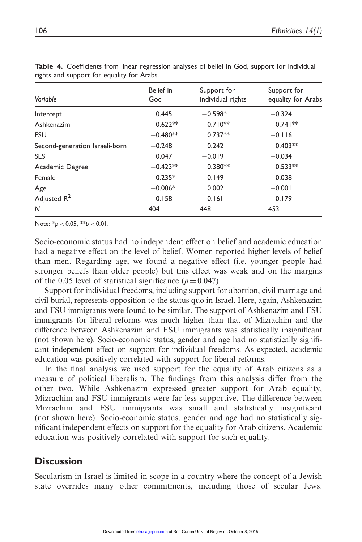| Variable                       | Belief in<br>God | Support for<br>individual rights | Support for<br>equality for Arabs |
|--------------------------------|------------------|----------------------------------|-----------------------------------|
| Intercept                      | 0.445            | $-0.598*$                        | $-0.324$                          |
| Ashkenazim                     | $-0.622**$       | $0.710**$                        | $0.741**$                         |
| <b>FSU</b>                     | $-0.480**$       | $0.737**$                        | $-0.116$                          |
| Second-generation Israeli-born | $-0.248$         | 0.242                            | $0.403**$                         |
| <b>SES</b>                     | 0.047            | $-0.019$                         | $-0.034$                          |
| Academic Degree                | $-0.423**$       | $0.380**$                        | $0.533**$                         |
| Female                         | $0.235*$         | 0.149                            | 0.038                             |
| Age                            | $-0.006*$        | 0.002                            | $-0.001$                          |
| Adjusted $R^2$                 | 0.158            | 0.161                            | 0.179                             |
| N                              | 404              | 448                              | 453                               |

Table 4. Coefficients from linear regression analyses of belief in God, support for individual rights and support for equality for Arabs.

Note:  $*_{p}$  < 0.05,  $*_{p}$  < 0.01.

Socio-economic status had no independent effect on belief and academic education had a negative effect on the level of belief. Women reported higher levels of belief than men. Regarding age, we found a negative effect (i.e. younger people had stronger beliefs than older people) but this effect was weak and on the margins of the 0.05 level of statistical significance ( $p = 0.047$ ).

Support for individual freedoms, including support for abortion, civil marriage and civil burial, represents opposition to the status quo in Israel. Here, again, Ashkenazim and FSU immigrants were found to be similar. The support of Ashkenazim and FSU immigrants for liberal reforms was much higher than that of Mizrachim and the difference between Ashkenazim and FSU immigrants was statistically insignificant (not shown here). Socio-economic status, gender and age had no statistically significant independent effect on support for individual freedoms. As expected, academic education was positively correlated with support for liberal reforms.

In the final analysis we used support for the equality of Arab citizens as a measure of political liberalism. The findings from this analysis differ from the other two. While Ashkenazim expressed greater support for Arab equality, Mizrachim and FSU immigrants were far less supportive. The difference between Mizrachim and FSU immigrants was small and statistically insignificant (not shown here). Socio-economic status, gender and age had no statistically significant independent effects on support for the equality for Arab citizens. Academic education was positively correlated with support for such equality.

## **Discussion**

Secularism in Israel is limited in scope in a country where the concept of a Jewish state overrides many other commitments, including those of secular Jews.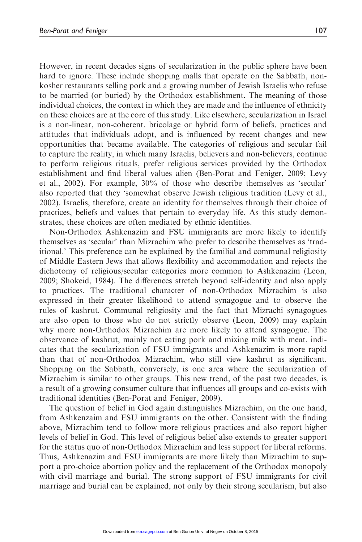However, in recent decades signs of secularization in the public sphere have been hard to ignore. These include shopping malls that operate on the Sabbath, nonkosher restaurants selling pork and a growing number of Jewish Israelis who refuse to be married (or buried) by the Orthodox establishment. The meaning of those individual choices, the context in which they are made and the influence of ethnicity on these choices are at the core of this study. Like elsewhere, secularization in Israel is a non-linear, non-coherent, bricolage or hybrid form of beliefs, practices and attitudes that individuals adopt, and is influenced by recent changes and new opportunities that became available. The categories of religious and secular fail to capture the reality, in which many Israelis, believers and non-believers, continue to perform religious rituals, prefer religious services provided by the Orthodox establishment and find liberal values alien (Ben-Porat and Feniger, 2009; Levy et al., 2002). For example, 30% of those who describe themselves as 'secular' also reported that they 'somewhat observe Jewish religious tradition (Levy et al., 2002). Israelis, therefore, create an identity for themselves through their choice of practices, beliefs and values that pertain to everyday life. As this study demonstrates, these choices are often mediated by ethnic identities.

Non-Orthodox Ashkenazim and FSU immigrants are more likely to identify themselves as 'secular' than Mizrachim who prefer to describe themselves as 'traditional.' This preference can be explained by the familial and communal religiosity of Middle Eastern Jews that allows flexibility and accommodation and rejects the dichotomy of religious/secular categories more common to Ashkenazim (Leon, 2009; Shokeid, 1984). The differences stretch beyond self-identity and also apply to practices. The traditional character of non-Orthodox Mizrachim is also expressed in their greater likelihood to attend synagogue and to observe the rules of kashrut. Communal religiosity and the fact that Mizrachi synagogues are also open to those who do not strictly observe (Leon, 2009) may explain why more non-Orthodox Mizrachim are more likely to attend synagogue. The observance of kashrut, mainly not eating pork and mixing milk with meat, indicates that the secularization of FSU immigrants and Ashkenazim is more rapid than that of non-Orthodox Mizrachim, who still view kashrut as significant. Shopping on the Sabbath, conversely, is one area where the secularization of Mizrachim is similar to other groups. This new trend, of the past two decades, is a result of a growing consumer culture that influences all groups and co-exists with traditional identities (Ben-Porat and Feniger, 2009).

The question of belief in God again distinguishes Mizrachim, on the one hand, from Ashkenzaim and FSU immigrants on the other. Consistent with the finding above, Mizrachim tend to follow more religious practices and also report higher levels of belief in God. This level of religious belief also extends to greater support for the status quo of non-Orthodox Mizrachim and less support for liberal reforms. Thus, Ashkenazim and FSU immigrants are more likely than Mizrachim to support a pro-choice abortion policy and the replacement of the Orthodox monopoly with civil marriage and burial. The strong support of FSU immigrants for civil marriage and burial can be explained, not only by their strong secularism, but also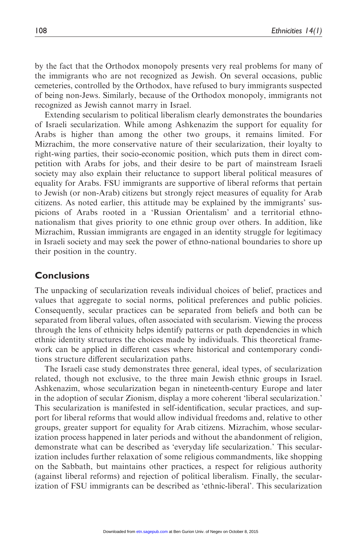by the fact that the Orthodox monopoly presents very real problems for many of the immigrants who are not recognized as Jewish. On several occasions, public cemeteries, controlled by the Orthodox, have refused to bury immigrants suspected of being non-Jews. Similarly, because of the Orthodox monopoly, immigrants not recognized as Jewish cannot marry in Israel.

Extending secularism to political liberalism clearly demonstrates the boundaries of Israeli secularization. While among Ashkenazim the support for equality for Arabs is higher than among the other two groups, it remains limited. For Mizrachim, the more conservative nature of their secularization, their loyalty to right-wing parties, their socio-economic position, which puts them in direct competition with Arabs for jobs, and their desire to be part of mainstream Israeli society may also explain their reluctance to support liberal political measures of equality for Arabs. FSU immigrants are supportive of liberal reforms that pertain to Jewish (or non-Arab) citizens but strongly reject measures of equality for Arab citizens. As noted earlier, this attitude may be explained by the immigrants' suspicions of Arabs rooted in a 'Russian Orientalism' and a territorial ethnonationalism that gives priority to one ethnic group over others. In addition, like Mizrachim, Russian immigrants are engaged in an identity struggle for legitimacy in Israeli society and may seek the power of ethno-national boundaries to shore up their position in the country.

### **Conclusions**

The unpacking of secularization reveals individual choices of belief, practices and values that aggregate to social norms, political preferences and public policies. Consequently, secular practices can be separated from beliefs and both can be separated from liberal values, often associated with secularism. Viewing the process through the lens of ethnicity helps identify patterns or path dependencies in which ethnic identity structures the choices made by individuals. This theoretical framework can be applied in different cases where historical and contemporary conditions structure different secularization paths.

The Israeli case study demonstrates three general, ideal types, of secularization related, though not exclusive, to the three main Jewish ethnic groups in Israel. Ashkenazim, whose secularization began in nineteenth-century Europe and later in the adoption of secular Zionism, display a more coherent 'liberal secularization.' This secularization is manifested in self-identification, secular practices, and support for liberal reforms that would allow individual freedoms and, relative to other groups, greater support for equality for Arab citizens. Mizrachim, whose secularization process happened in later periods and without the abandonment of religion, demonstrate what can be described as 'everyday life secularization.' This secularization includes further relaxation of some religious commandments, like shopping on the Sabbath, but maintains other practices, a respect for religious authority (against liberal reforms) and rejection of political liberalism. Finally, the secularization of FSU immigrants can be described as 'ethnic-liberal'. This secularization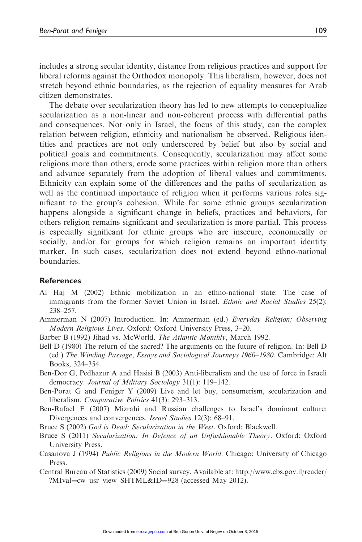includes a strong secular identity, distance from religious practices and support for liberal reforms against the Orthodox monopoly. This liberalism, however, does not stretch beyond ethnic boundaries, as the rejection of equality measures for Arab citizen demonstrates.

The debate over secularization theory has led to new attempts to conceptualize secularization as a non-linear and non-coherent process with differential paths and consequences. Not only in Israel, the focus of this study, can the complex relation between religion, ethnicity and nationalism be observed. Religious identities and practices are not only underscored by belief but also by social and political goals and commitments. Consequently, secularization may affect some religions more than others, erode some practices within religion more than others and advance separately from the adoption of liberal values and commitments. Ethnicity can explain some of the differences and the paths of secularization as well as the continued importance of religion when it performs various roles significant to the group's cohesion. While for some ethnic groups secularization happens alongside a significant change in beliefs, practices and behaviors, for others religion remains significant and secularization is more partial. This process is especially significant for ethnic groups who are insecure, economically or socially, and/or for groups for which religion remains an important identity marker. In such cases, secularization does not extend beyond ethno-national boundaries.

#### **References**

- Al Haj M (2002) Ethnic mobilization in an ethno-national state: The case of immigrants from the former Soviet Union in Israel. *Ethnic and Racial Studies* 25(2): 238–257.
- Ammerman N (2007) Introduction. In: Ammerman (ed.) Everyday Religion; Observing Modern Religious Lives. Oxford: Oxford University Press, 3–20.
- Barber B (1992) Jihad vs. McWorld. The Atlantic Monthly, March 1992.
- Bell D (1980) The return of the sacred? The arguments on the future of religion. In: Bell D (ed.) The Winding Passage, Essays and Sociological Journeys 1960–1980. Cambridge: Alt Books, 324–354.
- Ben-Dor G, Pedhazur A and Hasisi B (2003) Anti-liberalism and the use of force in Israeli democracy. Journal of Military Sociology 31(1): 119–142.
- Ben-Porat G and Feniger Y (2009) Live and let buy, consumerism, secularization and liberalism. Comparative Politics 41(3): 293–313.
- Ben-Rafael E (2007) Mizrahi and Russian challenges to Israel's dominant culture: Divergences and convergences. Israel Studies 12(3): 68–91.
- Bruce S (2002) God is Dead: Secularization in the West. Oxford: Blackwell.
- Bruce S (2011) Secularization: In Defence of an Unfashionable Theory. Oxford: Oxford University Press.
- Casanova J (1994) Public Religions in the Modern World. Chicago: University of Chicago Press.
- Central Bureau of Statistics (2009) Social survey. Available at: http://www.cbs.gov.il/reader/ ?MIval=cw\_usr\_view\_SHTML&ID=928 (accessed May 2012).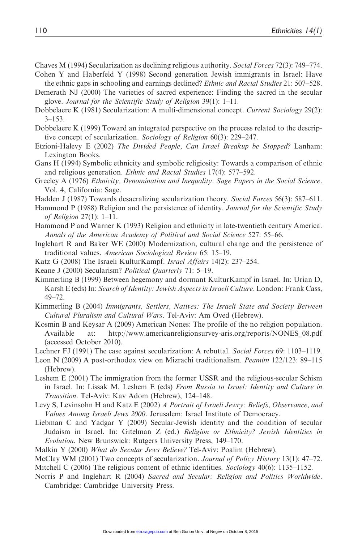- Chaves M (1994) Secularization as declining religious authority. Social Forces 72(3): 749–774.
- Cohen Y and Haberfeld Y (1998) Second generation Jewish immigrants in Israel: Have the ethnic gaps in schooling and earnings declined? *Ethnic and Racial Studies* 21: 507–528.
- Demerath NJ (2000) The varieties of sacred experience: Finding the sacred in the secular glove. Journal for the Scientific Study of Religion 39(1): 1–11.
- Dobbelaere K (1981) Secularization: A multi-dimensional concept. Current Sociology 29(2): 3–153.
- Dobbelaere K (1999) Toward an integrated perspective on the process related to the descriptive concept of secularization. Sociology of Religion 60(3): 229–247.
- Etzioni-Halevy E (2002) The Divided People, Can Israel Breakup be Stopped? Lanham: Lexington Books.
- Gans H (1994) Symbolic ethnicity and symbolic religiosity: Towards a comparison of ethnic and religious generation. Ethnic and Racial Studies 17(4): 577–592.
- Greeley A (1976) Ethnicity, Denomination and Inequality. Sage Papers in the Social Science. Vol. 4, California: Sage.
- Hadden J (1987) Towards desacralizing secularization theory. Social Forces 56(3): 587–611.
- Hammond P (1988) Religion and the persistence of identity. Journal for the Scientific Study of Religion 27(1): 1–11.
- Hammond P and Warner K (1993) Religion and ethnicity in late-twentieth century America. Annals of the American Academy of Political and Social Science 527: 55–66.
- Inglehart R and Baker WE (2000) Modernization, cultural change and the persistence of traditional values. American Sociological Review 65: 15–19.
- Katz G (2008) The Israeli KulturKampf. Israel Affairs 14(2): 237–254.
- Keane J (2000) Secularism? Political Quarterly 71: 5–19.
- Kimmerling B (1999) Between hegemony and dormant KulturKampf in Israel. In: Urian D, Karsh E (eds) In: Search of Identity: Jewish Aspects in Israeli Culture. London: Frank Cass, 49–72.
- Kimmerling B (2004) Immigrants, Settlers, Natives: The Israeli State and Society Between Cultural Pluralism and Cultural Wars. Tel-Aviv: Am Oved (Hebrew).
- Kosmin B and Keysar A (2009) American Nones: The profile of the no religion population. Available at: http://www.americanreligionsurvey-aris.org/reports/NONES\_08.pdf (accessed October 2010).
- Lechner FJ (1991) The case against secularization: A rebuttal. Social Forces 69: 1103–1119.
- Leon N (2009) A post-orthodox view on Mizrachi traditionalism. Peamim 122/123: 89–115 (Hebrew).
- Leshem E (2001) The immigration from the former USSR and the religious-secular Schism in Israel. In: Lissak M, Leshem E (eds) From Russia to Israel: Identity and Culture in Transition. Tel-Aviv: Kav Adom (Hebrew), 124–148.
- Levy S, Levinsohn H and Katz E (2002) A Portrait of Israeli Jewry: Beliefs, Observance, and Values Among Israeli Jews 2000. Jerusalem: Israel Institute of Democracy.
- Liebman C and Yadgar Y (2009) Secular-Jewish identity and the condition of secular Judaism in Israel. In: Gitelman Z (ed.) Religion or Ethnicity? Jewish Identities in Evolution. New Brunswick: Rutgers University Press, 149–170.
- Malkin Y (2000) What do Secular Jews Believe? Tel-Aviv: Poalim (Hebrew).
- McClay WM (2001) Two concepts of secularization. Journal of Policy History 13(1): 47–72. Mitchell C (2006) The religious content of ethnic identities. Sociology 40(6): 1135–1152.
- Norris P and Inglehart R (2004) Sacred and Secular: Religion and Politics Worldwide. Cambridge: Cambridge University Press.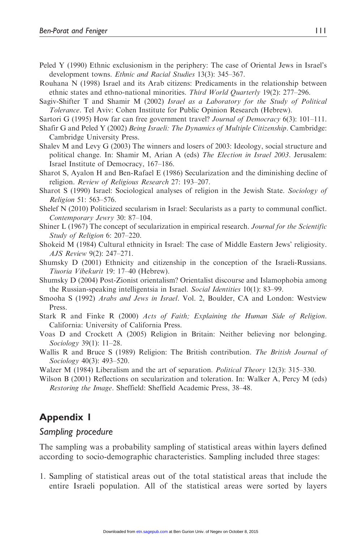- Peled Y (1990) Ethnic exclusionism in the periphery: The case of Oriental Jews in Israel's development towns. Ethnic and Racial Studies 13(3): 345–367.
- Rouhana N (1998) Israel and its Arab citizens: Predicaments in the relationship between ethnic states and ethno-national minorities. Third World Quarterly 19(2): 277-296.
- Sagiv-Shifter T and Shamir M (2002) Israel as a Laboratory for the Study of Political Tolerance. Tel Aviv: Cohen Institute for Public Opinion Research (Hebrew).
- Sartori G (1995) How far can free government travel? *Journal of Democracy* 6(3): 101–111.
- Shafir G and Peled Y (2002) Being Israeli: The Dynamics of Multiple Citizenship. Cambridge: Cambridge University Press.
- Shalev M and Levy G (2003) The winners and losers of 2003: Ideology, social structure and political change. In: Shamir M, Arian A (eds) The Election in Israel 2003. Jerusalem: Israel Institute of Democracy, 167–186.
- Sharot S, Ayalon H and Ben-Rafael E (1986) Secularization and the diminishing decline of religion. Review of Religious Research 27: 193–207.
- Sharot S (1990) Israel: Sociological analyses of religion in the Jewish State. Sociology of Religion 51: 563–576.
- Shelef N (2010) Politicized secularism in Israel: Secularists as a party to communal conflict. Contemporary Jewry 30: 87–104.
- Shiner L (1967) The concept of secularization in empirical research. Journal for the Scientific Study of Religion 6: 207–220.
- Shokeid M (1984) Cultural ethnicity in Israel: The case of Middle Eastern Jews' religiosity. AJS Review 9(2): 247–271.
- Shumsky D (2001) Ethnicity and citizenship in the conception of the Israeli-Russians. Tiuoria Vibekurit 19: 17–40 (Hebrew).
- Shumsky D (2004) Post-Zionist orientalism? Orientalist discourse and Islamophobia among the Russian-speaking intelligentsia in Israel. Social Identities 10(1): 83–99.
- Smooha S (1992) Arabs and Jews in Israel. Vol. 2, Boulder, CA and London: Westview Press.
- Stark R and Finke R (2000) Acts of Faith; Explaining the Human Side of Religion. California: University of California Press.
- Voas D and Crockett A (2005) Religion in Britain: Neither believing nor belonging. Sociology 39(1): 11–28.
- Wallis R and Bruce S (1989) Religion: The British contribution. The British Journal of Sociology 40(3): 493–520.
- Walzer M (1984) Liberalism and the art of separation. *Political Theory* 12(3): 315–330.
- Wilson B (2001) Reflections on secularization and toleration. In: Walker A, Percy M (eds) Restoring the Image. Sheffield: Sheffield Academic Press, 38–48.

## Appendix 1

#### Sampling procedure

The sampling was a probability sampling of statistical areas within layers defined according to socio-demographic characteristics. Sampling included three stages:

1. Sampling of statistical areas out of the total statistical areas that include the entire Israeli population. All of the statistical areas were sorted by layers